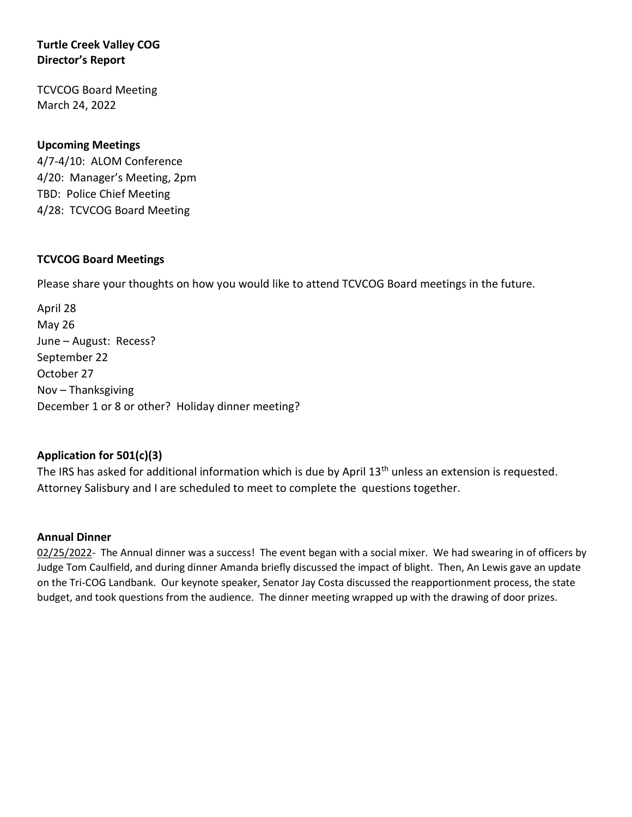# **Turtle Creek Valley COG Director's Report**

TCVCOG Board Meeting March 24, 2022

# **Upcoming Meetings**

4/7-4/10: ALOM Conference 4/20: Manager's Meeting, 2pm TBD: Police Chief Meeting 4/28: TCVCOG Board Meeting

### **TCVCOG Board Meetings**

Please share your thoughts on how you would like to attend TCVCOG Board meetings in the future.

April 28 May 26 June – August: Recess? September 22 October 27 Nov – Thanksgiving December 1 or 8 or other? Holiday dinner meeting?

### **Application for 501(c)(3)**

The IRS has asked for additional information which is due by April 13<sup>th</sup> unless an extension is requested. Attorney Salisbury and I are scheduled to meet to complete the questions together.

### **Annual Dinner**

02/25/2022- The Annual dinner was a success! The event began with a social mixer. We had swearing in of officers by Judge Tom Caulfield, and during dinner Amanda briefly discussed the impact of blight. Then, An Lewis gave an update on the Tri-COG Landbank. Our keynote speaker, Senator Jay Costa discussed the reapportionment process, the state budget, and took questions from the audience. The dinner meeting wrapped up with the drawing of door prizes.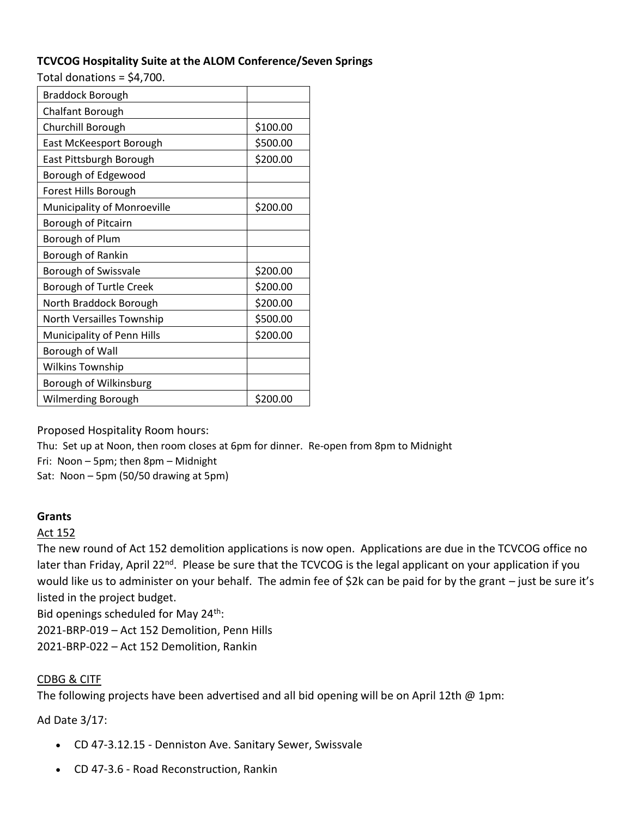# **TCVCOG Hospitality Suite at the ALOM Conference/Seven Springs**

Total donations = \$4,700.

| <b>Braddock Borough</b>     |          |
|-----------------------------|----------|
| <b>Chalfant Borough</b>     |          |
| Churchill Borough           | \$100.00 |
| East McKeesport Borough     | \$500.00 |
| East Pittsburgh Borough     | \$200.00 |
| Borough of Edgewood         |          |
| Forest Hills Borough        |          |
| Municipality of Monroeville | \$200.00 |
| Borough of Pitcairn         |          |
| Borough of Plum             |          |
| Borough of Rankin           |          |
| Borough of Swissvale        | \$200.00 |
| Borough of Turtle Creek     | \$200.00 |
| North Braddock Borough      | \$200.00 |
| North Versailles Township   | \$500.00 |
| Municipality of Penn Hills  | \$200.00 |
| Borough of Wall             |          |
| <b>Wilkins Township</b>     |          |
| Borough of Wilkinsburg      |          |
| <b>Wilmerding Borough</b>   | \$200.00 |

Proposed Hospitality Room hours:

Thu: Set up at Noon, then room closes at 6pm for dinner. Re-open from 8pm to Midnight

Fri: Noon – 5pm; then 8pm – Midnight

Sat: Noon – 5pm (50/50 drawing at 5pm)

# **Grants**

### Act 152

The new round of Act 152 demolition applications is now open. Applications are due in the TCVCOG office no later than Friday, April 22<sup>nd</sup>. Please be sure that the TCVCOG is the legal applicant on your application if you would like us to administer on your behalf. The admin fee of \$2k can be paid for by the grant – just be sure it's listed in the project budget.

Bid openings scheduled for May  $24^{th}$ :

2021-BRP-019 – Act 152 Demolition, Penn Hills

2021-BRP-022 – Act 152 Demolition, Rankin

# CDBG & CITF

The following projects have been advertised and all bid opening will be on April 12th @ 1pm:

Ad Date 3/17:

- CD 47-3.12.15 Denniston Ave. Sanitary Sewer, Swissvale
- CD 47-3.6 Road Reconstruction, Rankin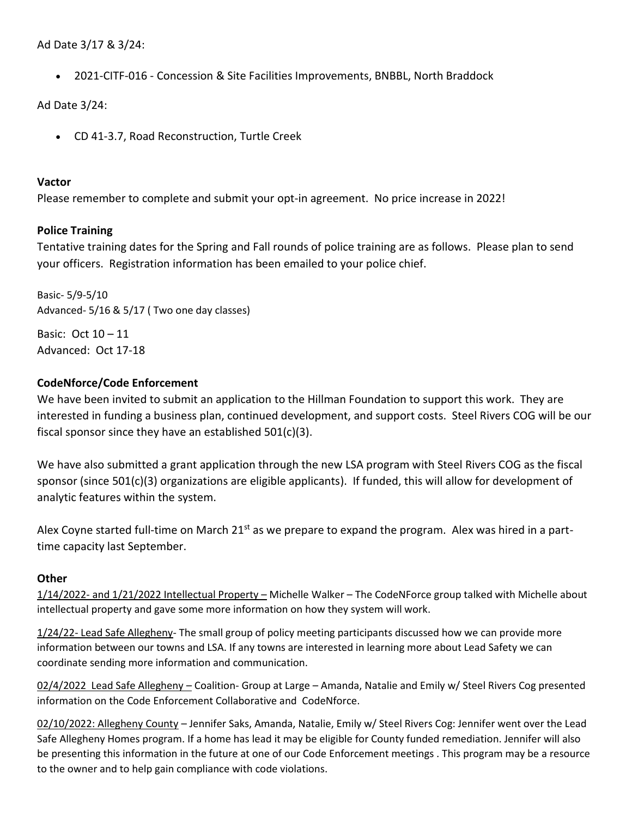Ad Date 3/17 & 3/24:

• 2021-CITF-016 - Concession & Site Facilities Improvements, BNBBL, North Braddock

Ad Date 3/24:

• CD 41-3.7, Road Reconstruction, Turtle Creek

#### **Vactor**

Please remember to complete and submit your opt-in agreement. No price increase in 2022!

# **Police Training**

Tentative training dates for the Spring and Fall rounds of police training are as follows. Please plan to send your officers. Registration information has been emailed to your police chief.

Basic- 5/9-5/10 Advanced- 5/16 & 5/17 ( Two one day classes)

Basic: Oct 10 – 11 Advanced: Oct 17-18

# **CodeNforce/Code Enforcement**

We have been invited to submit an application to the Hillman Foundation to support this work. They are interested in funding a business plan, continued development, and support costs. Steel Rivers COG will be our fiscal sponsor since they have an established 501(c)(3).

We have also submitted a grant application through the new LSA program with Steel Rivers COG as the fiscal sponsor (since 501(c)(3) organizations are eligible applicants). If funded, this will allow for development of analytic features within the system.

Alex Coyne started full-time on March 21<sup>st</sup> as we prepare to expand the program. Alex was hired in a parttime capacity last September.

### **Other**

1/14/2022- and 1/21/2022 Intellectual Property – Michelle Walker – The CodeNForce group talked with Michelle about intellectual property and gave some more information on how they system will work.

1/24/22- Lead Safe Allegheny- The small group of policy meeting participants discussed how we can provide more information between our towns and LSA. If any towns are interested in learning more about Lead Safety we can coordinate sending more information and communication.

02/4/2022 Lead Safe Allegheny – Coalition- Group at Large – Amanda, Natalie and Emily w/ Steel Rivers Cog presented information on the Code Enforcement Collaborative and CodeNforce.

02/10/2022: Allegheny County – Jennifer Saks, Amanda, Natalie, Emily w/ Steel Rivers Cog: Jennifer went over the Lead Safe Allegheny Homes program. If a home has lead it may be eligible for County funded remediation. Jennifer will also be presenting this information in the future at one of our Code Enforcement meetings . This program may be a resource to the owner and to help gain compliance with code violations.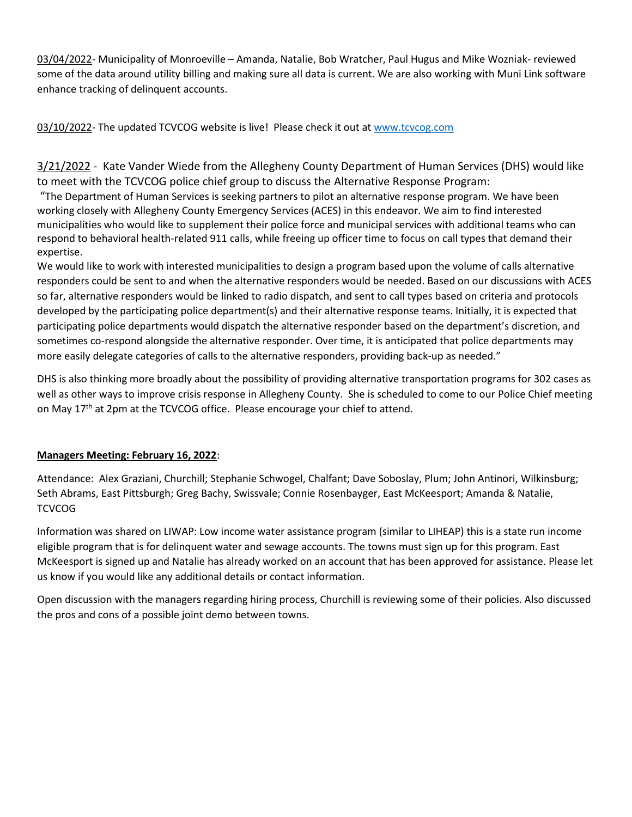03/04/2022- Municipality of Monroeville – Amanda, Natalie, Bob Wratcher, Paul Hugus and Mike Wozniak- reviewed some of the data around utility billing and making sure all data is current. We are also working with Muni Link software enhance tracking of delinquent accounts.

03/10/2022- The updated TCVCOG website is live! Please check it out at [www.tcvcog.com](http://www.tcvcog.com/)

3/21/2022 - Kate Vander Wiede from the Allegheny County Department of Human Services (DHS) would like to meet with the TCVCOG police chief group to discuss the Alternative Response Program:

"The Department of Human Services is seeking partners to pilot an alternative response program. We have been working closely with Allegheny County Emergency Services (ACES) in this endeavor. We aim to find interested municipalities who would like to supplement their police force and municipal services with additional teams who can respond to behavioral health-related 911 calls, while freeing up officer time to focus on call types that demand their expertise.

We would like to work with interested municipalities to design a program based upon the volume of calls alternative responders could be sent to and when the alternative responders would be needed. Based on our discussions with ACES so far, alternative responders would be linked to radio dispatch, and sent to call types based on criteria and protocols developed by the participating police department(s) and their alternative response teams. Initially, it is expected that participating police departments would dispatch the alternative responder based on the department's discretion, and sometimes co-respond alongside the alternative responder. Over time, it is anticipated that police departments may more easily delegate categories of calls to the alternative responders, providing back-up as needed."

DHS is also thinking more broadly about the possibility of providing alternative transportation programs for 302 cases as well as other ways to improve crisis response in Allegheny County. She is scheduled to come to our Police Chief meeting on May  $17<sup>th</sup>$  at 2pm at the TCVCOG office. Please encourage your chief to attend.

### **Managers Meeting: February 16, 2022**:

Attendance: Alex Graziani, Churchill; Stephanie Schwogel, Chalfant; Dave Soboslay, Plum; John Antinori, Wilkinsburg; Seth Abrams, East Pittsburgh; Greg Bachy, Swissvale; Connie Rosenbayger, East McKeesport; Amanda & Natalie, **TCVCOG** 

Information was shared on LIWAP: Low income water assistance program (similar to LIHEAP) this is a state run income eligible program that is for delinquent water and sewage accounts. The towns must sign up for this program. East McKeesport is signed up and Natalie has already worked on an account that has been approved for assistance. Please let us know if you would like any additional details or contact information.

Open discussion with the managers regarding hiring process, Churchill is reviewing some of their policies. Also discussed the pros and cons of a possible joint demo between towns.